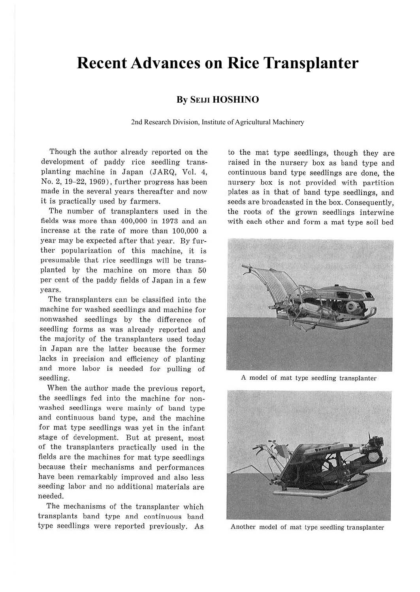## **Recent Advances on Rice Transplanter**

## **By SEIJI HOSHINO**

2nd Research Division, Institute of Agricultural Machinery

Though the author already reported on the development of paddy rice seedling transplanting machine in Japan (JARQ, Vol. 4, No. 2, 19-22, 1969), further progress has been made in the several years thereafter and now it is practically used by farmers.

The number of transplanters used in the fields was more than 400,000 in 1973 and an increase at the rate of more than 100,000 a year may be expected after that year. By further popularization of this machine, it is presumable that rice seedlings will be transplanted by the machine on more than 50 per cent of the paddy fields of Japan in a few years.

The transplanters can be classified into the machine for washed seedlings and machine for nonwashecl seedlings by the difference of seedling forms as was already reported and the majority of the transplanters used today in Japan are the latter because the former lacks in precision and efficiency of planting and more labor is needed for pulling of seedling.

When the author made the previous report, the seedlings fed into the machine for nonwashed seedlings were mainly of band type and continuous band type, and the machine for mat type seedlings was yet in the infant stage of development. But at present, most of the transplanters practically used in the fields are the machines for mat type seedlings because their mechanisms and performances have been remarkably improved and also less seeding labor and no additional materials are needed.

The mechanisms of the transplanter which transplants band type and continuous band type seedlings were reported previously. As

to the mat type seedlings, though they are raised in the nursery box as band type and continuous band type seedlings are done, the nursery box is not provided with partition plates as in that of band type seedlings, and seeds are broadcasted in the box. Consequently, the roots of the grown seedlings interwine with each other and form a mat type soil bed



A model of mat type seedling transplanter



Another model of mat type seedling transplanter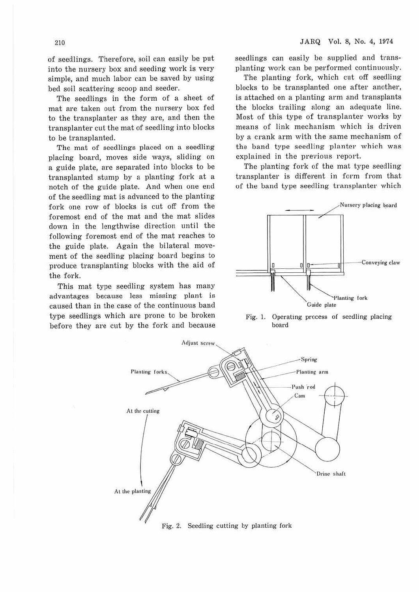of seedlings. Therefore, soil can easily be put into the nursery box and seeding work is very simple, and much labor can be saved by using bed soil scattering scoop and seeder.

The seedlings in the form of a sheet of mat are taken out from the nursery box fed to the transplanter as they are, and then the transplanter cut the mat of seedling into blocks to be transplanted.

The mat of seedlings placed on a seedling placing board, moves side ways, sliding on a guide plate, are separated into blocks to be transplanted stump by a planting fork at a notch of the guide plate. And when one end of the seedling mat is advanced to the planting fork one row of blocks is cut off from the foremost end of the mat and the mat slides down in the lengthwise direction until the following foremost end of the mat reaches to the guide plate. Again the bilateral movement of the seedling placing board begins to produce transplanting blocks with the aid of the fork.

This mat type seedling system has many advantages because less missing plant is caused than in the case of the continuous band type seedlings which are prone to be broken before they are cut by the fork and because seedlings can easily be supplied and transplanting work can be performed continuously.

The planting fork, which cut off seedling blocks to be transplanted one after another, is attached on a planting arm and transplants the blocks trailing along an adequate line. Most of this type of transplanter works by means of link mechanism which is driven by a crank arm with the same mechanism of the band type seedling planter which was explained in the previous report.

The planting fork of the mat type seedling transplanter is different in form from that of the band type seedling transplanter which



Fig. 1. Operating process of seedling placing board

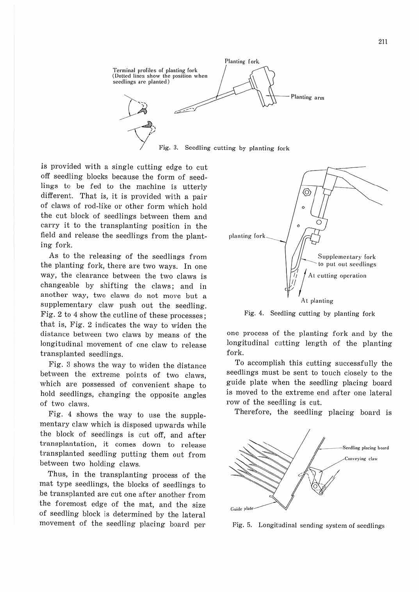

is provided with a single cutting edge to cut off seedling blocks because the form of seedlings to be fed to the machine is utterly different. That is, it is provided with a pair of claws of rod-like or other form which hold the cut block of seedlings between them and cany it to the transplanting position in the field and release the seedlings from the planting fork.

As to the releasing of the seedlings from the planting fork, there are two ways. In one way, the clearance between the two claws is changeable by shifting the claws; and in another way, two claws do not move but a supplementary claw push out the seedling. Fig. 2 to 4 show the cutline of these processes; that is, Fig. 2 indicates the way to widen the distance between two claws by means of the longitudinal movement of one claw to release transplanted seedlings.

Fig. 3 shows the way to widen the distance between the extreme points of two claws, which are possessed of convenient shape to hold seedlings, changing the opposite angles of two claws.

Fig. 4 shows the way to use the supplementary claw which is disposed upwards while the block of seedlings is cut off, and after transplantation, it comes down to release transplanted seedling putting them out from between two holding claws.

Thus, in the transplanting process of the mat type seedlings, the blocks of seedlings to be transplanted are cut one after another from the foremost edge of the mat, and the size of seedling block is determined by the lateral movement of the seedling placing board per



Fig. 4. Seedling cutting by planting fork

one process of the planting fork and by the longitudinal cutting length of the planting fork.

To accomplish this cutting successfully the seedlings must be sent to touch closely to the guide plate when the seedling placing board is moved to the extreme end after one lateral row of the seedling is cut.

Therefore, the seedling placing board is



Fig. 5. Longitudinal sending system of seedlings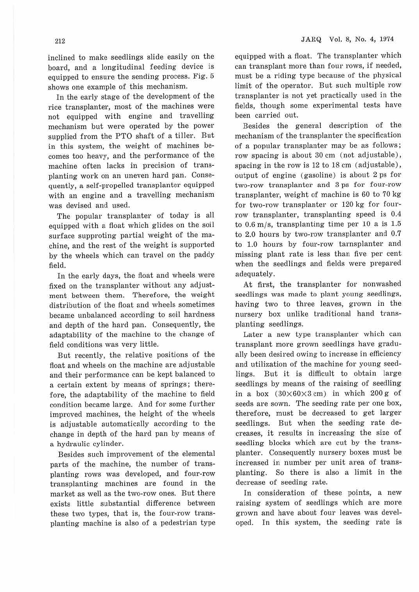inclined to make seedlings slide easily on the board, and a longitudinal feeding device is equipped to ensure the sending process. Fig. 5 shows one example of this mechanism.

In the early stage of the development of the rice transplanter, most of the machines were not equipped with engine and travelling mechanism but were operated by the power supplied from the PTO shaft of a tiller. But in this system, the weight of machines becomes too heavy, and the performance of the machine often lacks in precision of transplanting work on an uneven hard pan. Consequently, a self-propelled transplanter equipped with an engine and a travelling mechanism was devised and used.

The popular transplanter of today is all equipped with a float which glides on the soil surface supproting partial weight of the machine, and the rest of the weight is supported by the wheels which can travel on the paddy field.

In the early days, the float and wheels were fixed on the transplanter without any adjustment between them. Therefore, the weight distribution of the float and wheels sometimes became unbalanced according to soil hardness and depth of the hard pan. Consequently, the adaptability of the machine to the change of field conditions was very little.

But recently, the relative positions of the float and wheels on the machine are adjustable and their performance can be kept balanced to a certain extent by means of springs; therefore, the adaptability of the machine to field condition became large. And for some further improved machines, the height of the wheels is adjustable automatically according to the change in depth of the hard pan by means of a hydraulic cylinder.

Besides such improvement of the elemental parts of the machine, the number of transplanting rows was developed, and four-row transplanting machines are found in the market as well as the two-row ones. But there exists little substantial difference between these two types, that is, the four-row transplanting machine is also of a pedestrian type equipped with a float. The transplanter which can transplant more than four rows, if needed, must be a riding type because of the physical limit of the operator. But such multiple row transplanter is not yet practically used in the fields, though some experimental tests have been carried out.

Besides the general description of the mechanism of the transplanter the specification of a popular transplanter may be as follows; row spacing is about 30 cm (not adjustable), spacing in the row is 12 to 18 cm (adjustable), output of engine (gasoline) is about 2 ps for two-row transplanter and 3 ps for four-row transplanter, weight of machine is 60 to 70 kg for two-row transplanter or 120 kg for fourrow transplanter, transplanting speed is 0.4 to 0.6 m/s, transplanting time per 10 a is 1.5 to 2.0 hours by two-row transplanter and 0.7 to 1.0 hours by four-row tarnsplanter and missing plant rate is less than five per cent when the seedlings and fields were prepared adequately.

At first, the transplanter for nonwashed seedlings was made to plant young seedlings, having two to three leaves, grown in the nursery box unlike traditional hand transplanting seedlings.

Later a new type transplanter which can transplant more grown seedlings have gradually been desired owing to increase in efficiency and utilization of the machine for young seedlings. But it is difficult to obtain large seedlings by means of the raising of seedling in a box  $(30\times60\times3$  cm) in which 200 g of seeds are sown. The seeding rate per one box, therefore, must be decreased to get larger seedlings. But when the seeding rate decreases, it results in increasing the size of seedling blocks which are cut by the transplanter. Consequently nursery boxes must be increased in number per unit area of transplanting. So there is also a limit in the decrease of seeding rate.

In consideration of these points, a new raising system of seedlings which are more grown and have about four leaves was developed. In this system, the seeding rate is